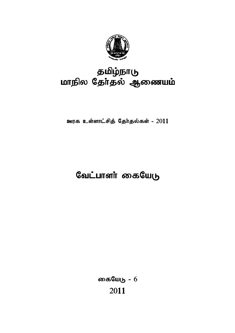

## தமிழ்நாடு மாநில தேர்தல் ஆணையம்

ஊரக உள்ளாட்சித் தேர்தல்கள் -  $2011$ 

# வேட்பாளா் கையேடு

கையேடு -  $6$ 2011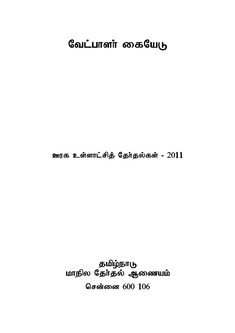# வேட்பாளா் கையேடு

ஊரக உள்ளாட்சித் தேர்தல்கள் - 2011

தமிழ்நாடு மாநில தேர்தல் ஆணையம் சென்னை 600 106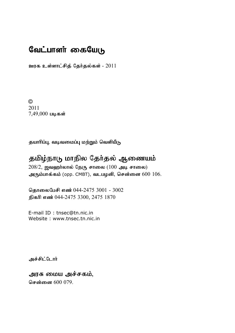## வேட்பாளா் கையேடு

ஊரக உள்ளாட்சித் தேர்தல்கள் -  $2011$ 

© 2011  $7,49,000$  படிகள்

தயாரிப்பு, வடிவமைப்பு மற்றும் வெளியீடு

## தமிழ்நாடு மாநில தேர்தல் ஆணையம்

 $208/2$ , ஜவஹர்லால் நேரு சாலை (100 அடி சாலை) அரும்பாக்கம் (opp. CMBT), வடபழனி, சென்னை  $600\; 106$ .

தொலைபேசி எண் 044-2475 3001 - 3002 நிகரி எண் 044-2475 3300, 2475 1870

E-mail ID : tnsec@tn.nic.in Website : www.tnsec.tn.nic.in

அச்சிட்டோர்

அரசு மைய அச்சகம்,

சென்னை 600 079.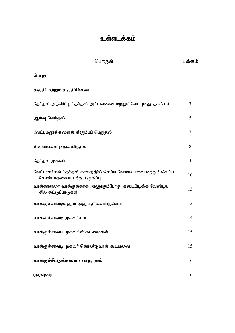## உள்ளடக்கம்

| பொருள்                                                                                      | மக்கம் |
|---------------------------------------------------------------------------------------------|--------|
| பொது                                                                                        | 1      |
| தகுதி மற்றும் தகுதியின்மை                                                                   | 1      |
| தேர்தல் அறிவிப்பு, தேர்தல் அட்டவணை மற்றும் வேட்புமனு தாக்கல்                                | 3      |
| ஆய்வு செய்தல்                                                                               | 5      |
| வேட்புமனுக்களைத் திரும்பப் பெறுதல்                                                          | 7      |
| சின்னங்கள் ஒதுக்கிடுதல்                                                                     | 8      |
| தேர்தல் முகவர்                                                                              | 10     |
| வேட்பாளர்கள் தேர்தல் காலத்தில் செய்ய வேண்டியவை மற்றும் செய்ய<br>வேண்டாதவைப் பற்றிய குறிப்பு | 10     |
| வாக்காளரை வாக்குக்காக அணுகும்போது கடைபிடிக்க வேண்டிய<br>சில கட்டுப்பாடுகள்                  | 13     |
| வாக்குச்சாவடியினுள் அனுமதிக்கப்படுவோர்                                                      | 13     |
| வாக்குச்சாவடி முகவர்கள்                                                                     | 14     |
| வாக்குச்சாவடி முகவரின் கடமைகள்                                                              | 15     |
| வாக்குச்சாவடி முகவர் கொண்டுவரக் கூடியவை                                                     | 15     |
| வாக்குச்சீட்டுக்களை எண்ணுதல்                                                                | 16     |
| முடிவுரை                                                                                    | 16     |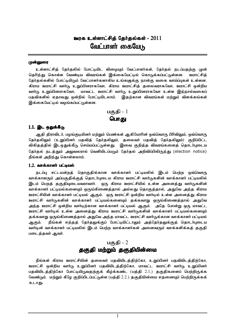## ஊரக உள்ளாட்சிக் கேர்கல்கள் - 2011 வேட்பாளர் கையேடு

#### முன்னுரை

உள்ளாட்சித் தேர்தலில் போட்டியிட விழையும் வேட்பாளர்கள், தேர்தல் நடப்பதற்கு முன் தெரிந்து கொள்ள வேண்டிய விவரங்கள் இக்கையேட்டில் கொடுக்கப்பட்டுள்ளன. ஊாாட்சிக் தேர்தல்களில் போட்டியிடும் வேட்பாளர்களாகிய உங்களுக்கு நான்கு வகை வாய்ப்புகள் உள்ளன. கிராம ஊராட்சி வார்டு, உறுப்பினராகவோ, கிராம ஊராட்சித் தலைவராகவோ, ஊராட்சி ஒன்றிய மாவட்ட ஊராட்சி வார்டு உறுப்பினராகவோ உள்ள இந்நால்வகைப் வாா்டு உறுப்பினராகவோ, பதவிகளில் ஏதாவது ஒன்றில் போட்டியிடலாம். இதற்கான விவரங்கள் மற்றும் விளக்கங்கள் இக்கையேட்டில் வழங்கப்பட்டுள்ளன.



## 1.1. இட ஒதுக்கீடு

ஆதி திராவிடர், பழங்குடியினர் மற்றும் பெண்கள் ஆகியோரின் ஒவ்வொரு பிரிவிலும், ஒவ்வொரு தேர்தலிலும் (உறுப்பினர் பதவித் தேர்தலிலும், தலைவர் பதவித் தேர்தலிலும்) குறிப்பிட்ட விகிதத்தில் இடஒதுக்கீடு, செய்யப்பட்டுள்ளது. இவை குறித்த விவரங்களைத் தொடர்புடைய தேர்தல் நடத்தும் அலுவலரால் வெளியிடப்படும் தேர்தல் அறிவிப்பிலிருந்து (election notice) நீங்கள் அறிந்து கொள்ளலாம்.

### 1.2. வாக்காளர் பட்டியல்

நடப்பு சட்டமன்றத் தொகுதிக்கான வாக்காளர் பட்டியலில் இடம் பெற்ற ஒவ்வொரு வாக்காளரும் அப்பகுதிக்குத் தொடர்புடைய கிராம ஊராட்சி வார்டுகளின் வாக்காளர் பட்டியலில் இடம் பெறத் தகுதியுடையவராவார். ஒரு கிராம ஊராட்சியில் உள்ள அனைத்து வார்டுகளின் வாக்காளர் பட்டியல்களையும் ஒருங்கிணைத்தால் அல்லது தொகுத்தால், அதுவே அந்த கிராம ஊராட்சியின் வாக்காளர் பட்டியல் ஆகும். ஒரு ஊராட்சி ஒன்றிய வார்டில் உள்ள அனைத்து கிராம ஊராட்சி வார்டுகளின் வாக்காளர் பட்டியல்களையும் தக்கவாறு ஒருங்கிணைத்தால் அதுவே அந்த ஊராட்சி ஒன்றிய வார்டிற்கான வாக்காளர் பட்டியல் ஆகும். அதே போன்று ஒரு மாவட்ட ஊராட்சி வார்டில் உள்ள அனைத்து கிராம ஊராட்சி வார்டுகளின் வாக்காளர் பட்டியல்களையும் தக்கவாறு ஒருங்கிணைத்தால் அதுவே அந்த மாவட்ட ஊராட்சி வார்டுக்கான வாக்காளர் பட்டியல் ஆகும். நீங்கள் எந்தத் தேர்தலுக்குப் போட்டியிட்டாலும் அத்தேர்தலுக்குத் தொடர்புடைய வார்டின் வாக்காளர் பட்டியலில் இடம் பெற்ற வாக்காளர்கள் அனைவரும் வாக்களிக்கத் தகுதி படைத்தவர் ஆவர்.

## பகுதி -  $2$

## தகுதி மற்றும் தகுதியின்மை

நீங்கள் கிராம ஊராட்சியின் தலைவர் பதவியிடத்திற்கோ, உறுப்பினர் பதவியிடத்திற்கோ, ஊராட்சி ஒன்றிய வார்டு, உறுப்பினர் பதவியிடத்திற்கோ, மாவட்ட ஊராட்சி வார்டு உறுப்பினர் பதவியிடத்திற்கோ போட்டியிடுவதற்குக் கீழ்க்கண்ட (பத்தி 2.1.) தகுதிகளைப் பெற்றிருக்க வேண்டும். மற்றும் கீழே குறிப்பிடப்பட்டுள்ள (பத்தி 2.2.) தகுதியின்மை எதனையும் பெற்றிருக்கக் கூடாது.

 $\mathbf{1}$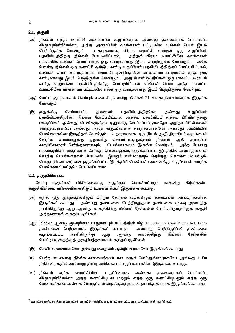#### 2.1. தகுதி

- (அ) நீங்கள் எந்த ஊராட்சி அமைப்பின் உறுப்பினராக அல்லது தலைவராக போட்டியிட விரும்புகின்றீர்களோ, அந்த அமைப்பின் வாக்காளர் பட்டியலில் உங்கள் பெயர் இடம் பெற்றிருக்க வேண்டும். உதாரணமாக, கிராம ஊராட்சி வார்டின் ஒரு உறுப்பினர் பதவியிடத்திற்கு நீங்கள் போட்டியிட்டால், அந்தக் கிராம ஊராட்சியின் வாக்காளர் பட்டியலில் உங்கள் பெயர் எந்த ஒரு வார்டிலாவது இடம் பெற்றிருக்க வேண்டும். அதே போன்று நீங்கள் ஒரு ஊராட்சி ஒன்றிய வார்டு உறுப்பினர் பதவியிடத்திற்குப் போட்டியிட்டால், உங்கள் பெயர் சம்பந்தப்பட்ட ஊராட்சி ஒன்றியத்தின் வாக்காளர் பட்டியலில் எந்த ஒரு வார்டிலாவது இடம் பெற்றிருக்க வேண்டும். அது போன்றே நீங்கள் ஒரு மாவட்ட ஊராட்சி வார்டு உறுப்பினர் பதவியிடத்திற்கு போட்டியிட்டால் உங்கள் பெயர் அந்த மாவட்ட ஊராட்சியின் வாக்காளர் பட்டியலில் எந்த ஒரு வார்டிலாவது இடம் பெற்றிருக்க வேண்டும்.
- (ஆ) வேட்புமனு தாக்கல் செய்யும் கடைசி நாளன்று நீங்கள் 21 வயது நிரம்பியவராக இருக்க வேண்டும்.
- (இ) ஒதுக்கீடு செய்யப்பட்ட தலைவர் பதவியிடத்திற்கோ அல்லது உறுப்பினர் பதவியிடத்திற்கோ நீங்கள் போட்டியிட்டால் அந்தப் பதவியிடம் எந்தப் பிரிவினருக்கு (வகுப்பினர் அல்லது பெண்கஞுக்கு) ஒதுக்கீடு செய்யப்பட்டுள்ளதோ அந்தப் பிரிவினைச் சார்ந்தவராகவோ அல்லது அந்த வகுப்பினைச் சார்ந்தவராகவோ அல்லது அப்பிரிவின் பெண்ணாகவோ இருத்தல் வேண்டும். உதாரணமாக, ஒரு இடம் ஆதி-திராவிடர் வகுப்பைச் சேர்ந்த பெண்களுக்கு ஒதுக்கீடு, செய்யப்பட்டிருந்தால் நீங்கள் ஆதி திராவிடர் வகுப்பினரைச் சேர்ந்தவராகவும், பெண்ணாகவும் இருக்க வேண்டும். அதே போன்று பழங்குடியினர் வகுப்பைச் சேர்ந்த பெண்களுக்கு ஒதுக்கப்பட்ட இடத்தில் அவ்வகுப்பைச் சேர்ந்த பெண்கள்தான் போட்டியிட இயலும் என்பதையும் தெரிந்து கொள்ள வேண்டும். பொது (பெண்கள்) என ஒதுக்கப்பட்ட இடத்தில் பெண்கள் (அனைத்து வகுப்பைச் சார்ந்த பெண்களும்) மட்டுமே போட்டியிடலாம்.

#### 2.2. தகுதியின்மை

 $\overline{\phantom{a}}$ 

வேட்பு மனுக்கள் பரிசீலனைக்கு எடுத்துக் கொள்ளப்படும் நாளன்று கீழ்க்கண்ட தகுதியின்மை வரிசையில் எதிலும் உங்கள் பெயர் இருக்கக் கூடாது.

- (அ) எந்த ஒரு குற்றவழக்கிலும் மற்றும் தேர்தல் வழக்கிலும் தண்டனை அடைந்தவராக இருக்கக் கூடாது. அவ்வாறு தண்டனை பெற்றிருந்தால் தண்டனை முடிவு அடைந்த நாளிலிருந்து ஆறு ஆண்டு காலத்திற்கு நீங்கள் தேர்தலில் போட்டியிடுவதற்குத் தகுதி அற்றவராகக் கருதப்படுவீர்கள்.
- (ஆ) 1955-ம் ஆண்டு குடியுரிமை பாதுகாப்புச் சட்டத்தின் கீழ் (Protection of Civil Rights Act, 1955) தண்டனை பெற்றவராக இருக்கக் கூடாது. அவ்வாறு பெற்றிருப்பின் தண்டனை வழங்கப்பட்ட நாளிலிருந்து ஆறு ஆண்டு காலத்திற்கு நீங்கள் தேர்தலில் போட்டியிடுவதற்குத் தகுதியற்றவராகக் கருதப்படுவீர்கள்.
- (இ) செவிட் $t$ நமையாகவோ அல்லது மனநலம் குன்றியவராகவோ இருக்கக் கூடாது.
- (ஈ) பெற்ற கடனைத் தீர்க்க வகையற்றவர் என மனுச் செய்துள்ளவராகவோ அல்லது உரிய நீதிமன்றத்தில் அவ்வாறு தீர்ப்பு அளிக்கப்பட்டிருப்பவராகவோ இருக்கக் கூடாது.
- (உ) நீங்கள் எந்த ஊராட்சி $^*$ யில் உறுப்பினராக அல்லது தலைவராகப் போட்டியிட விரும்புகிறீர்களோ அந்த ஊராட்சியுடன் மற்றும் எந்த ஒரு ஊராட்சியுடனும் எந்த ஒரு வேலைக்கான அல்லது பொருட்கள் வமங்குவதற்கான ஒப்பந்ததாரராக இருக்கக் கூடாது.

ஊராட்சி என்பது கிராம ஊராட்சி, ஊராட்சி ஒன்றியம் மற்றும் மாவட்ட ஊராட்சியினைக் குறிக்கும்.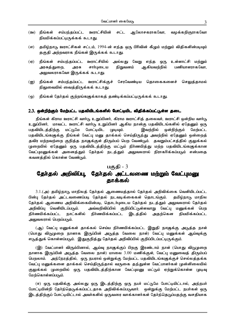- <u>(ஊ) நீங்கள் சம்பந்தப்பட்ட ஊராட்சியின் சட்ட ஆலோசகராகவோ, வழக்கறிஞராகவோ</u> நியமிக்கப்பட்டிருக்கக் கூடாது.
- (எ) தமிழ்நாடு ஊராட்சிகள் சட்டம், 1994-ன் எந்த ஒரு பிரிவின் கீழும் மற்றும் விதிகளின்படியும் தகுதி அற்றவராக நீங்கள் இருக்கக் கூடாது.
- (ஏ) நீங்கள் சம்பந்தப்பட்ட ஊராட்சியில் அல்லது வேறு எந்த ஒரு உள்ளாட்சி மற்றும் அரசுத்துறை, நிறுவனம் ஆகியவற்றில் பணியாளராகவோ, அரசு சார்புடைய அலுவலராகவோ இருக்கக் கூடாது.
- (ஐ) நீங்கள் சம்பந்தப்பட்ட ஊராட்சிக்குச் சேரவேண்டிய தொகைகளைச் செலுத்தாமல் நிலுவையில் வைத்திருக்கக் கூடாது.
- (ஒ) நீங்கள் தேர்தல் குற்றங்களுக்காகத் தண்டிக்கப்பட்டிருக்கக் கூடாது.

#### 2.3. ஒன்றிற்கும் மேற்பட்ட பதவியிடங்களில் போட்டியிட விதிக்கப்பட்டுள்ள தடை

நீங்கள் கிராம ஊராட்சி வார்டு உறுப்பினர், கிராம ஊராட்சித் தலைவர், ஊராட்சி ஒன்றிய வார்டு உறுப்பினர், மாவட்ட ஊராட்சி வார்டு உறுப்பினர் ஆகிய நான்கு பதவியிடங்களில் ஏதேனும் ஒரு பதவியிடத்திற்கு மட்டுமே போட்டியிட முடியும். இவற்றில் <u>ஒன்றிற்கும்</u> மேற்பட்ட பதவியிடங்களுக்கு நீங்கள் வேட்பு மனு தாக்கல் செய்திருந்து அவற்றில் ஏதேனும் ஒன்றைத் தவிர மற்றவற்றை குறித்த நாளுக்குள் திரும்பப் பெற வேண்டும். தவறும்பட்சத்தில் குலுக்கல் முறையில் ஏதேனும் ஒரு பதவியிடத்திற்கு மட்டும் நிர்ணயித்து மற்ற பதவியிடங்களுக்கான வேட்புமனுக்கள் அனைத்தும் தேர்தல் நடத்தும் அலுவலரால் நிராகரிக்கப்படும் என்பதை கவனத்தில் கொள்ள வேண்டும்.

#### பகுதி - 3

## தேர்தல் அறிவிப்பு, தேர்தல் அட்டவணை மற்றும் வேட்புமனு காக்கல்

3.1.(அ) தமிழ்நாடு மாநிலத் தேர்தல் ஆணையத்தால் தேர்தல் அறிவிக்கை வெளியிடப்பட்ட பின்பு தேர்தல் அட்டவணைப்படி தேர்தல் நடவடிக்கைகள் தொடங்கும். கமிம்நாடு மாநில தேர்தல் ஆணைய அறிவிக்கையின்படி, தொடர்புடைய தேர்தல் நடத்தும் அலுவலரால் தேர்தல் அறிவிப்பு வெளியிடப்படும். அவ்வறிவிப்பில் குறிப்பிட்டுள்ளவாறு வேட்பு மனுக்கள் பெற நாட்களில் நிர்ணயிக்கப்பட்ட இடத்தில் நிர்ணயிக்கப்பட்ட அதற்கென நியமிக்கப்பட்ட அலுவலரால் பெறப்படும்.

(ஆ) வேட்பு மனுக்கள் தாக்கல் செய்ய நிர்ணயிக்கப்பட்ட இறுதி நாளுக்கு அடுத்த நாள் (பொது விடுமுறை நாளாக இருப்பின் அடுத்த வேலை நாள்) வேட்பு மனுக்கள் ஆய்வுக்கு எடுத்துக் கொள்ளப்படும். இதுகுறித்து தேர்தல் அறிவிப்பில் குறிப்பிடப்பட்டிருக்கும்.

(இ) வேட்பாளர் விரும்பினால், ஆய்வு நாளுக்குப் பிறகு இரண்டாம் நாள் (பொது விடுமுறை நாளாக இருப்பின் அடுத்த வேலை நாள்) மாலை 3.00 மணிக்குள், வேட்பு மனுவைத் திரும்பப் பெறலாம். அந்நேரத்தில், ஒரு நபரால் ஒன்றுக்கு மேற்பட்ட பதவியிடங்களுக்குச் செல்லத்தக்க வேட்பு மனுக்களை தாக்கல் செய்திருந்தால் வருகை தந்துள்ள வேட்பாளர்கள் முன்னிலையில் குலுக்கல் முறையில் ஒரு பதவியிடத்திற்கான வேட்புமனு மட்டும் ஏற்றுக்கொள்ள முடிவு மேற்கொள்ளப்படும்.

(ஈ) ஒரு பதவிக்கு அல்லது ஒரு இடத்திற்கு ஒரு நபர் மட்டுமே போட்டியிட்டால், அந்நபர் போட்டியின்றி தேர்ந்தெடுக்கப்பட்டதாக அறிவிக்கப்படுவார். ஒன்றுக்கு மேற்பட்ட நபர்கள் ஒரு இடத்திற்குப் போட்டியிட்டால் அவர்களில் ஒருவரை வாக்காளர்கள் தேர்ந்தெடுப்பதற்கு வசதியாக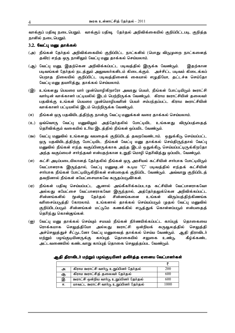வாக்குப் பதிவு நடைபெறும். வாக்குப் பதிவு, தேர்தல் அறிவிக்கையில் குறிப்பிட்டபடி, குறித்த நாளில் நடைபெறும்.

#### 3.2. வேட்பு மனு தாக்கல்

- (அ) நீங்கள் தேர்தல் அறிவிக்கையில் குறிப்பிட்ட நாட்களில் (பொது விடுமுறை நாட்களைத் தவிர) எந்த ஒரு நாளிலும் வேட்பு மனு தாக்கல் செய்யலாம்.
- (ஆ) வேட்பு மனு, இதற்கென அறிவிக்கப்பட்ட படிவத்தில் இருக்க வேண்டும். இதற்கான படிவங்கள் தேர்தல் நடத்தும் அலுவலர்களிடம் கிடைக்கும். அச்சிட்ட படிவம் கிடைக்கப் பெறாத நிலையில் குறிப்பிட்ட படிவத்தினைக் கையால் எழுதியோ, தட்டச்சு செய்தோ வேட்பு மனு தயாரித்து, தாக்கல் செய்யலாம்.
- (இ) உங்களது பெயரை யார் முன்மொழிகிறாரோ அவரது பெயர், நீங்கள் போட்டியிடும் ஊராட்சி வார்டின் வாக்காளர் பட்டியலில் இடம் பெற்றிருக்க வேண்டும். கிராம ஊராட்சியின் தலைவர் பதவிக்கு உங்கள் பெயரை முன்மொழிபவரின் பெயர் சம்பந்தப்பட்ட கிராம ஊராட்சியின் வாக்காளர் பட்டியலில் இடம் பெற்றிருக்க வேண்டும்.
- (ஈ) நீங்கள் ஒரு பதவியிடத்திற்கு நான்கு வேட்பு மனுக்கள் வரை தாக்கல் செய்யலாம்.
- $(2)$  ஒவ்வொரு வேட்பு மனுவிலும் அத்தேர்தலில் போட்டியிட உங்களது விருப்பத்தைத் தெரிவிக்கும் வகையில் உரிய இடத்தில் நீங்கள் ஒப்பமிட வேண்டும்.
- (ஊ) வேட்பு மனுவில் உங்களது வயதைக் குறிப்பிடத் தவறவேண்டாம். ஒதுக்கீடு செய்யப்பட்ட லு புகவியிடத்திற்கு போட்டியிட நீங்கள் வேட்பு ம**ை காக்கல் செய்கிருந்**கால் வேட்பு மனுவில் நீங்கள் எந்த வகுப்பினருக்காக அந்த இடம் ஒதுக்கீடு செய்யப்பட்டிருக்கிறதோ அந்த வகுப்பைச் சார்ந்தவர் என்பதற்கான உறுதி மொழி தெரிவித்து ஒப்பமிட வேண்டும்.
- $\sigma$ ) கட்சி அடிப்படையிலானத் தேர்தலில் நீங்கள் ஒரு அரசியல் கட்சியின் சார்பாக போட்டியிடும் வேட்பாளராக இருந்தால், வேட்பு மனுவுடன் கூடிய "C" படிவத்தில் எந்தக் கட்சியின் சார்பாக நீங்கள் போட்டியிடுகிறீர்கள் என்பதைக் குறிப்பிட வேண்டும். அவ்வாறு குறிப்பிடத் தவறினால் நீங்கள் சுயேட்சையாகவே கருதப்படுவீர்கள்.
- (ஏ) நீங்கள் பதிவு செய்யப்பட்ட ஆனால் அங்கீகரிக்கப்படாத கட்சியின் வேட்பாளராகவோ அல்லது சுயேட்சை வேட்பாளராகவோ இருந்தால், அத்தேர்தலுக்கென அறிவிக்கப்பட்ட சின்னங்களில் மூன்று தேர்தல் சின்னங்களை உங்கள் விருப்பத்திற்கிணங்க வரிசைப்படுத்தி கோரலாம். உங்களால் தாக்கல் செய்யப்படும் முதல் வேட்பு மனுவில் குறிப்பிடப்படும் சின்னங்கள் மட்டுமே கணக்கில் எடுத்துக் கொள்ளப்படும் என்பதைத் தெரிந்து கொள்ளுங்கள்.
- (ஐ) வேட்பு மனு தாக்கல் செய்யும் சமயம் நீங்கள் நிர்ணயிக்கப்பட்ட காப்புத் தொகையை ரொக்கமாக செலுத்தியோ அல்லது ஊராட்சி ஒன்றியக் கருவூலத்தில் செலுத்தி அச்செலுத்துச் சீட்டுடனோ வேட்பு மனுவைத் தாக்கல் செய்ய வேண்டும். அதி திராவிடர் மற்றும் பழங்குடியினருக்கு காப்புத் தொகையில் சலுகை உண்டு. கீழ்க்கண்ட அட்டவணையில் கண்டவாறு காப்புத் தொகை செலுத்தப்பட வேண்டும்.

| அ. | கிராம ஊராட்சி வார்டு உறுப்பினர் தேர்தல்  | 200  |
|----|------------------------------------------|------|
| ஆ. | கிராம ஊராட்சித் தலைவர் தேர்தல்           | 600  |
| இ. | ஊராட்சி ஒன்றிய வார்டு உறுப்பினர் தேர்தல் | 600  |
| 厈. | மாவட்ட ஊராட்சி வார்டு உறுப்பினர் தேர்தல் | 1000 |

ஆதி திராவிடர் மற்றும் பழங்குடியினர் தவிர்த்த ஏனைய வேட்பாளர்கள்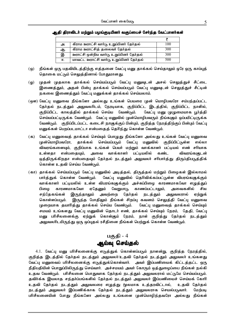| அ. | கிராம ஊராட்சி வார்டு உறுப்பினர் தேர்தல்  | 100 |
|----|------------------------------------------|-----|
| ஆ. | கிராம ஊராட்சித் தலைவர் தேர்தல்           | 300 |
| இ. | ஊராட்சி ஒன்றிய வார்டு உறுப்பினர் தேர்தல் | 300 |
| Æ. | மாவட்ட ஊராட்சி வார்டு உறுப்பினர் தேர்தல் | 500 |

### ஆதி திராவிடர் மற்றும் பழங்குடியினர் வகுப்பைச் சேர்ந்த வேட்பாளர்கள்

- (ஒ) நீங்கள் ஒரு பதவியிடத்திற்கு எத்தனை வேட்பு மனு தாக்கல் செய்தாலும் ஒரே ஒரு காப்புத் தொகை மட்டும் செலுத்தினால் போதுமானது.
- (ஓ) முதன் முதலாக தாக்கல் செய்யப்படும் வேட்பு மனுவுடன் அசல் செலுத்துச் சீட்டை இணைத்தும், அதன் பின்பு தாக்கல் செய்யப்படும் வேட்பு மனுவுடன் செலுத்துச் சீட்டின் நகலை இணைத்தும் வேட்பு மனுக்கள் தாக்கல் செய்யலாம்.
- (ஒள) வேட்பு மனுவை நீங்களோ அல்லது உங்கள் பெயரை முன் மொழிபவரோ சம்பந்தப்பட்ட தேர்தல் நடத்தும் அலுவலரிடம், நேரடியாக, குறிப்பிட்ட இடத்தில், குறிப்பிட்ட நாளில், குறிப்பிட்ட காலத்தில் தாக்கல் செய்ய வேண்டும். வேட்பு மனு முழுமையாக பூர்த்தி செய்யப்பட்டிருக்க வேண்டும். வேட்பு மனுவில் முன்மொழிபவரும் நீங்களும் ஒப்பமிட்டிருக்க வேண்டும். குறிப்பிடப்பட்ட கடைசி நாளுக்குப் பின்பும், குறித்த நேரத்திற்குப் பின்பும் வேட்பு மனுக்கள் பெறப்படமாட்டா என்பதைத் தெரிந்து கொள்ள வேண்டும்.
- (க) வேட்பு மனுவைத் தாக்கல் செய்யும் பொழுது நீங்களோ அல்லது உங்கள் வேட்பு மனுவை முன்மொழிபவரோ, தாக்கல் செய்யப்படும் வேட்பு மனுவில் குறிப்பிட்டுள்ள எல்லா விவரங்களையும், குறிப்பாக உங்கள் பெயர் மற்றும் வாக்காளர் பட்டியல் எண் சரியாக உள்ளதா என்பதையும், அவை வாக்காளர் பட்டியலில் கண்ட விவரங்களுடன் ஒத்திருக்கிறதா என்பதையும் தேர்தல் நடத்தும் அலுவலர் சரிபார்த்து திருப்திபடுத்திக் கொள்ள உதவி செய்ய வேண்டும்.
- (கா) தாக்கல் செய்யப்படும் வேட்பு மனுவில் அடித்தல், திருத்தல் மற்றும் பிழைகள் இல்லாமல் பார்த்துக் கொள்ள வேண்டும். மேட்பு மனுவில் தெரிவிக்கப்பட்டுள்ள விபரங்களுக்கும் வாக்காளர் பட்டியலில் உள்ள விபரங்களுக்கும் அச்சுப்பிழை காரணமாகவோ எழுத்துப் பிழை காரணமாகவோ ஏதேனும் வேறுபாடு காணப்பட்டாலும், அவைகளில் சில சந்தேகங்கள் இருந்தாலும் அவற்றை தேர்தல் நடத்தும் அலுவலரால் ஏற்றுக் கொள்ளப்படும். இருந்த போதிலும் நீங்கள் சிறப்பு கவனம் செலுத்தி வேட்பு மனுவை முறையாக தயாரித்து தாக்கல் செய்ய வேண்டும். வேட்பு மனுவைத் தாக்கல் செய்யும் சமயம் உங்களது வேட்பு மனுவின் தொடர் எண், தாக்கல் செய்யும் நேரம், தேதி, வேட்பு மனு பரிசீலனைக்கு ஏற்றுக் கொள்ளும் நேரம், நாள் குறித்து தேர்தல் நடத்தும் அலுவலாிடமிருந்து ஒரு ஒப்புதல் ரசீதினை நீங்கள் பெற்றுக் கொள்ள வேண்டும்.

## $\mathbf{u}$ குதி -  $4$ ஆய்வு செய்தல்

4.1. வேட்பு மனு பரிசீலனைக்கு எடுத்துக் கொள்ளப்படும் நாளன்று, குறித்த நேரத்தில், குறித்த இடத்தில் தேர்தல் நடத்தும் அலுவலர்/உதவி தேர்தல் நடத்தும் அலுவலர் உங்களது வேட்பு மனுவைப் பரிசீலனைக்கு எடுத்துக்கொள்வார். அவர் இப்பணியைக் கிட்டத்தட்ட ஒரு நீதிபதியின் பொறுப்பிலிருந்து செய்வார். அச்சமயம் அவர் கோரும் ஒத்துழைப்பை நீங்கள் நல்கி உதவ வேண்டும். பரிசீலனை பொதுவாக தேர்தல் நடத்தும் அலுவலரால் மட்டுமே செய்யப்படும். தவிர்க்க இயலாத சந்தர்ப்பங்களில் தேர்தல் நடத்தும் அலுவலர் இப்பணியைச் செய்யக் கோரி உதவி தேர்தல் நடத்தும் அலுவலரை எழுத்து மூலமாக உத்தரவிட்டால், உதவி தேர்தல் நடத்தும் அலுவலர் இப்பணிக்காக தேர்தல் நடத்தும் அலுவலராக செயல்படுவார். மேற்படி பரிசீலனையின் போது நீங்களோ அல்லது உங்களை முன்மொழிந்தவரோ அல்லது நீங்கள்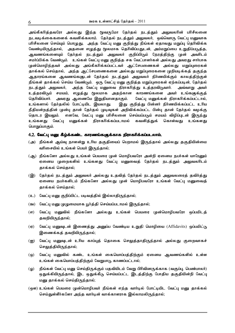அங்கீகரித்தவரோ அல்லது இந்த மூவருமோ தேர்தல் நடத்தும் அலுவலரின் பரிசீலனை நடவடிக்கைகளைக் கவனிக்கலாம். தேர்தல் நடத்தும் அலுவலர், ஒவ்வொரு வேட்பு மனுவாக பரிசீலனை செய்யும் பொழுது, அந்த வேட்பு மனு குறித்து நீங்கள் ஏதாவது மறுப்பு தெரிவிக்க வேண்டியிருந்தால், அதனை எழுத்து மூலமாக தெரிவிப்பதுடன், அம்மறுப்பை உறுதிப்படுத்த, ஆவணங்களையும் தேர்தல் நடத்தும் அலுவலர் குறிப்பிடும் நேரத்திற்கு முன் அவரிடம் சமர்ப்பிக்க வேண்டும். உங்கள் வேட்பு மனு குறித்த சக வேட்பாளர்கள் அல்லது அவரது சார்பாக முன்மொழிந்தவர் அல்லது அங்கீகரிக்கப்பட்டவர் ஆட்சேபணைகள் அல்லது மறுப்புரைகள் தாக்கல் செய்தால், அந்த ஆட்சேபணைகளை அல்லது மறுப்புரைகளை முறியடிக்கத் தகுந்த ஆதாரங்களை ஆவணங்களுடன் தேர்தல் நடத்தும் அலுவலர் நிர்ணயிக்கும் காலத்திற்குள் நீங்கள் தாக்கல் செய்ய வேண்டும். ஒரு வேட்பு மனு குறித்த மறுப்புரைகள் ஏற்கப்படின், தேர்தல் நடத்தும் அலுவலர், அந்த வேட்பு மனுவை நிராகரித்து உத்தரவிடுவார். அவ்வாறு அவர் உத்தரவிடும் சமயம், எழுத்து மூலமாக அதற்கான காரணங்களை அவர் உங்களுக்குத் தெரிவிப்பார். அவரது ஆணையே இறுதியானதாகும். வேட்பு மனுக்கள் நிராகரிக்கப்பட்டால், உங்களால் தேர்தலில் போட்டியிட இயலாது. இது குறித்து பின்னர் நிர்ணயிக்கப்பட்ட உரிய நீதிமன்றத்தின் முன்பு தான் தேர்தல் முடிவுகள் அறிவிக்கப்பட்ட பின்பு தான் தேர்தல் வழக்கு தொடர இயலும். எனவே, வேட்பு மனு பரிசீலனை செய்யப்படும் சமயம் விழிப்புடன் இருந்து உங்களது வேட்பு மனுக்கள் நிராகரிக்கப்படாமல் கவனித்துக் கொள்வது உங்களது பொறுப்பாகும்.

#### 4.2. வேட்பு மனு கீழ்க்கண்ட காரணங்களுக்காக நிராகரிக்கப்படலாம்.

- (அ) நீங்கள் ஆய்வு நாளன்று உரிய தகுதியைப் பெறாமல் இருந்தால் அல்லது தகுதியின்மை வரிசையில் உங்கள் பெயர் இருந்தால்;
- (ஆ) நீங்களோ அல்லது உங்கள் பெயரை முன் மொழிபவரோ அன்றி ஏனைய நபர்கள் யாரேனும் ஏனைய முறைகளில் உங்களது வேட்பு மனுவைத் தேர்தல் நடத்தும் அலுவலரிடம் தாக்கல் செய்தால்;
- (இ) தேர்தல் நடத்தும் அலுவலர் அல்லது உதவித் தேர்தல் நடத்தும் அலுவலரைத் தவிர்த்து ஏனைய நபர்களிடம் நீங்களோ அல்லது முன் மொழிபவரோ உங்கள் வேட்பு மனுவைத் தாக்கல் செய்தால்;
- (உ) வேட்பு மனு குறிப்பிட்ட படிவத்தில் இல்லாதிருந்தால்;
- (ஊ) வேட்பு மனு முழுமையாக பூர்த்தி செய்யப்படாமல் இருந்தால்;
- $\sigma$ ) வேட்பு மனுவில் நீங்களோ அல்லது உங்கள் பெயரை முன்மொழிபவரோ ஒப்பமிடத் தவறியிருந்தால்;
- $($ ஏ) வேட்பு மனுவுடன் இணைத்து அனுப்ப வேண்டிய உறுதி மொழியை (Affidavits) ஒப்பமிட்டு இணைக்கத் தவறியிருந்தால்;
- (ஐ) வேட்பு மனுவுடன் உரிய காப்புத் தொகை செலுத்தாதிருந்தால் அல்லது குறைவாகச் செலுத்தியிருந்தால்;
- (ஒ) வேட்பு மனுவில் கண்ட உங்கள் கையொப்பத்திற்கும் ஏனைய ஆவணங்களில் உள்ள உங்கள் கையொப்பத்திற்கும் வேறுபாடு காணப்பட்டால்;
- (ஓ) நீங்கள் வேட்பு மனு செய்திருக்கும் பதவியிடம் வேறு பிரிவினருக்காக (வகுப்பு, பெண்பாலர்) ஒதுக்கியிருந்தால், இட ஒதுக்கீடு செய்யப்பட்ட இடத்திற்கு போதிய தகுதியின்றி வேட்பு மனு தாக்கல் செய்திருந்தால்;
- (ஒள) உங்கள் பெயரை முன்மொழிபவர் நீங்கள் எந்த வார்டில் போட்டியிட வேட்பு மனு தாக்கல் செய்துள்ளீர்களோ அந்த வார்டின் வாக்காளராக இல்லாமலிருந்தால்;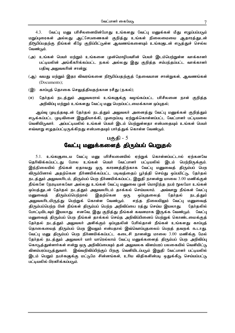$4.3$ . வேட்பு மனு பரிசீலனையின்போது உங்களது வேட்பு மனுக்கள் மீது எழுப்பப்படும் மறுப்புரைகள் அல்லது ஆட்சேபணைகள் குறித்து உங்கள் நிலைமையை ஆதாரத்துடன் நிரூபிப்பதற்கு நீங்கள் கீழே குறிப்பிட்டுள்ள ஆவணங்களையும் உங்களுடன் எடுத்துச் செல்ல வேண்டும்.

- (அ) உங்கள் பெயர் மற்றும் உங்களை முன்மொழிபவரின் பெயர் இடம்பெற்றுள்ள வாக்காளர் பட்டியலின் அங்கீகரிக்கப்பட்ட நகல் அல்லது இது குறித்த சம்பந்தப்பட்ட வாக்காளர் பதிவு அலுவலரின் சான்று;
- (ஆ) வயது மற்றும் இதர விவரங்களை நிரூபிப்பதற்குத் தேவையான சான்றுகள், ஆவணங்கள் (Documents);
- (இ) காப்புத் தொகை செலுத்தியதற்கான ரசீது (நகல்);
- (ஈ) தேர்தல் நடத்தும் அலுவலரால் உங்களுக்கு வழங்கப்பட்ட பரிசீலனை நாள் குறித்த அறிவிப்பு மற்றும் உங்களது வேட்பு மனு பெறப்பட்டமைக்கான ஒப்புதல்;

ஆய்வு முடிந்தவுடன் தேர்தல் நடத்தும் அலுவலர் அனைத்து வேட்பு மனுக்கள் குறித்தும் எடுக்கப்பட்ட முடிவினை இறுதியாக்கி, முறைப்படி ஏற்றுக்கொள்ளப்பட்ட வேட்பாளர் பட்டியலை வெளியிடுவார். அப்பட்டியலில் உங்கள் பெயர் இடம் பெற்றுள்ளதா என்பதையும் உங்கள் பெயர் எவ்வாறு எழுதப்பட்டிருக்கிறது என்பதையும் பார்த்துக் கொள்ள வேண்டும்.

#### பகுதி -  $5$

## வேட்பு மனுக்களைத் திரும்பப் பெறுதல்

5.1. உங்களுடைய வேட்பு மனு பரிசீலனையில் ஏற்றுக் கொள்ளப்பட்டால் ஏற்கனவே தெரிவிக்கப்பட்டது போல உங்கள் பெயர் வேட்பாளர் பட்டியலில் இடம் பெற்றிருக்கும். இந்நிலையில் நீங்கள் ஏதாவது ஒரு காரணத்திற்காக வேட்பு மனுவைத் திரும்பப் பெற விரும்பினால் அதற்கென நிர்ணயிக்கப்பட்ட படிவத்தைப் பூர்த்தி செய்து ஒப்பமிட்டு, தேர்தல் நடத்தும் அலுவலரிடம், திரும்பப் பெற நிர்ணயிக்கப்பட்ட இறுதி நாளன்று மாலை 3.00 மணிக்குள் நீங்களே நேரடியாகவோ அல்லது உங்கள் வேட்பு மனுவை முன் மொழிந்த நபர் மூலமோ உங்கள் ஒப்பத்துடன் தேர்தல் நடத்தும் அலுவலரிடம் தாக்கல் செய்யலாம். அவ்வாறு நீங்கள் வேட்பு மனுவைத் திரும்பப்பெற்றால் இதற்கென ஒரு ஒப்புதலைத் தேர்தல் நடத்தும் அலுவலாிடமிருந்து பெற்றுக் கொள்ள வேண்டும். எந்த நிலையிலும் வேட்பு மனுவைத் திரும்பப்பெற்ற பின் நீங்கள் திரும்பப் பெற்ற அறிவிப்பை ரத்து செய்ய இயலாது. நேர்தலில் போட்டியிடவும் இயலாது. எனவே, இது குறித்து நீங்கள் கவனமாக இருக்க வேண்டும். வேட்பு மனுவைத் திரும்பப் பெற நீங்கள் தாக்கல் செய்த அறிவிப்பினைப் பெற்றுக் கொண்டமைக்குத் தேர்தல் நடத்தும் அலுவலர் அளிக்கும் ஒப்புதலின் பேரில்தான் நீங்கள் உங்களது காப்புத் தொகையைத் திரும்பப் பெற இயலும் என்பதால் இவ்வொப்புதலைப் பெறத் தவறக் கூடாது. வேட்பு மனு திரும்பப் பெற நிர்ணயிக்கப்பட்ட கடைசி நாளன்று மாலை 3.00 மணிக்கு மேல் தேர்தல் நடத்தும் அலுவலர் யார் யாரெல்லாம் வேட்பு மனுக்களைத் திரும்பப் பெற அறிவிப்பு கொடுத்துள்ளார்கள் என்று ஒரு அறிவிப்பையும் தன் அலுவலக விளம்பரப் பலகையில் வெளியிட்டு விளம்பரப்படுத்துவார். இவ்வறிவிப்பிற்குப் பிறகு வெளியிடப்படும் இறுதி வேட்பாளர் பட்டியலில் இடம் பெறும் நபர்களுக்கு மட்டுமே சின்னங்கள், உரிய விதிகளின்படி ஒதுக்கீடு செய்யப்பட்டு பட்டியலில் பிரசுரிக்கப்படும்.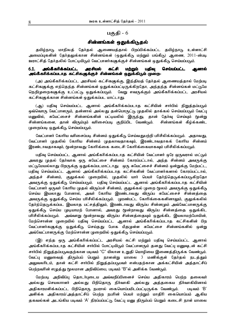### சின்னங்கள் ஒதுக்கிடுதல்

தமிழ்நாடு மாநிலத் தேர்தல் ஆணையத்தால் பிறப்பிக்கப்பட்ட தமிழ்நாடு உள்ளாட்சி அமைப்புகளின் தேர்தலுக்கான சின்னங்கள் (ஒதுக்கீடு மற்றும் பங்கீடு) ஆணை, 2011-ன்படி ஊராட்சித் தேர்தலில் போட்டியிடும் வேட்பாளர்களுக்குச் சின்னங்கள் ஒதுக்கீடு செய்யப்படும்.

#### $6.1$ . அங்கீகரிக்கப்பட்ட அரசியல் கட்சி மற்றும் பகிவ செய்யப்பட்ட அணால் அங்கீகரிக்கப்படாத கட்சிகளுக்குச் சின்னங்கள் ஒதுக்கிடும் முறை-

(அ) அங்கீகரிக்கப்பட்ட அரசியல் கட்சிகளுக்கு, இந்தியத் தேர்தல் அணையத்தால் மேற்படி கட்சிகளுக்கு எந்தெந்த சின்னங்கள் ஒதுக்கப்பட்டிருக்கிறதோ, அந்தந்த சின்னங்கள் மட்டுமே நெறிமுறைகளுக்கு உட்பட்டு ஒதுக்கப்படும். வேறு எவருக்கும் அங்கீகரிக்கப்பட்ட அரசியல் கட்சிகளுக்கான சின்னங்கள் ஒதுக்கப்பட மாட்டாது.

(ஆ) பதிவு செய்யப்பட்ட ஆனால் அங்கீகரிக்கப்படாத கட்சியின் சார்பில் நிறுத்தப்படும் ஒவ்வொரு வேட்பாளரும், தன்னால் அல்லது தன்பொருட்டு முதலில் தாக்கல் செய்யப்படும் வேட்பு மனுவில், சுயேட்சைச் சின்னங்களின் பட்டியலில் இருந்து, தான் தேர்வு செய்யும் மூன்று சின்னங்களை, தான் விரும்பும் வரிசைப்படி குறிப்பிட வேண்டும். சின்னங்கள் கீழ்க்கண்ட (முறைப்படி ஒதுக்கீடு, செய்யப்படும்.

வேட்பாளர் கோரிய வரிசைப்படி சின்னம் ஒதுக்கீடு செய்வதுபற்றி பரிசீலிக்கப்படும். அதாவது, வேட்பாளர் முதலில் கோரிய சின்னம் முதலாவதாகவும், இரண்டாவதாகக் கோரிய சின்னம் இரண்டாவதாகவும், மூன்றாவது கோரிக்கை கடைசி கோரிக்கையாகவும் பரிசீலிக்கப்படும்.

பதிவு செய்யப்பட்ட ஆனால் அங்கீகரிக்கப்படாத கட்சியின் வேட்பாளர் ஒரே ஒருவரால் மட்டும் அவரது முதல் தேர்வாக ஒரு சுயேட்சை சின்னம் கோரப்பட்டால், அந்த சின்னம் அவருக்கு மட்டுமேயல்லாது பிறருக்கு ஒதுக்கப்படமாட்டாது. ஒரு சுயேட்சைச் சின்னம் ஒன்றுக்கு மேற்பட்ட, பதிவு செய்யப்பட்ட ஆனால் அங்கீகரிக்கப்படாத கட்சிகளின் வேட்பாளர்களால் கோரப்பட்டால், அந்தச் சின்னம், குலுக்கல் முறையில், முதலில் யார் பெயர் தேர்ந்தெடுக்கப்படுகிறதோ அவருக்கு ஒதுக்கீடு செய்யப்படும். பதிவு செய்யப்பட்ட ஆனால் அங்கீகரிக்கப்படாத கட்சியின் வேட்பாளர் ஒருவர் கோரிய முதல் விருப்பச் சின்னம், குலுக்கல் முறை மூலம் அவருக்கு ஒதுக்கீடு செய்ய இயலாது போனால், அவர் கோரிய இரண்டாவது விருப்ப சுயேட்சைச் சின்னத்தை அவருக்கு ஒதுக்கீடு செய்ய பரிசீலிக்கப்படும். முரண்பட்ட கோரிக்கைகளினாலும், குலுக்கலில் தேர்ந்தெடுக்கப்பட இயலாத பட்சத்திலும், இரண்டாவது விருப்ப சின்னமும் அவ்வேட்பாளருக்கு ஒதுக்கீடு, செய்ய முடியாமற் போனால், அவரது மூன்றாவது விருப்ப சின்னத்தை ஒதுக்கிட பரிசீலிக்கப்படும். அவ்வாறு மூன்றாவது விருப்ப சின்னத்தையும் ஒதுக்கிட இயலாமற்போயின், மேற்சொன்ன முறையில் பதிவு செய்யப்பட்ட ஆனால் அங்கீகரிக்கப்படாத கட்சிகளின் பிற வேட்பாளர்களுக்கு ஒதுக்கீடு செய்தது போக மீதமுள்ள சுயேட்சை சின்னங்களில் ஒன்று அவ்வேட்பாளருக்கு மேற்சொன்ன முறையில் ஒதுக்கீடு செய்யப்படும்.

(இ) எந்த ஒரு அங்கீகரிக்கப்பட்ட அரசியல் கட்சி மற்றும் பதிவு செய்யப்பட்ட ஆனால் அங்கீகரிக்கப்படாத கட்சியின் சார்பில் போட்டியிடும் வேட்பாளரும் தனது வேட்பு மனுவுடன் கட்சி சார்பில் நிறுத்தப்படுவதற்கான படிவம் "C" யிலான உறுதி மொழியை இணைத்திருக்க வேண்டும். வேட்பு மனுவைத் திரும்பப் பெறும் நாளன்று மாலை 3 மணிக்குள் தேர்தல் நடத்தும் அலுவலரிடம், தான் கட்சி சார்பில் நிறுத்தப்படுபவர் என்பதற்கான அக்கட்சியின் அத்தாட்சிப் பெற்றவரின் எழுத்து மூலமான அறிவிப்பை, படிவம் "B"ல் அளிக்க வேண்டும்.

மேற்படி அறிவிப்பு தொடர்புடைய அவ்வறிப்பினைச் செய்ய அதிகாரம் பெற்ற தலைவர் அல்லது செயலாாளர் அல்லது பிறிதொரு நிர்வாகி அல்லது அத்தகைய நிர்வாகியினால் அதிகாரமளிக்கப்பட்ட பிறிதொரு நபரால் கையொப்பமிடப்பட்டிருக்க வேண்டும். படிவம் 'B' அளிக்க அதிகாரம்/அத்தாட்சிப் பெற்ற நபரின் பெயர் மற்றும் மாதிரி கையொப்பம் ஆகிய தகவல்கள் அடங்கிய படிவம் 'A' நிரப்பப்பட்டு வேட்பு மனு திரும்பப் பெறும் கடைசி நாள் மாலை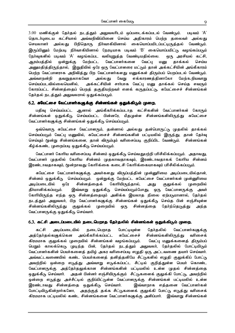$3.00$  மணிக்குள் தேர்தல் நடத்தும் அலுவலரிடம் ஒப்படைக்கப்படல் வேண்டும். படிவம் 'A' தொடர்புடைய கட்சியால் அவ்வறிவிப்பினை செய்ய அதிகாரம் பெற்ற தலைவர் அல்லது செயலாளர் அல்லது பிறிதொரு நிர்வாகியினால் கையொப்பமிடப்பட்டிருத்தல் வேண்டும். இருப்பினும் மேற்படி நிர்வாகியினால் நேரடியாக படிவம் 'B' கையொப்பமிட்டு வழங்கப்படும் நேர்வுகளில் படிவம் 'A' வழங்கப்பட வலியுறுத்த வேண்டியதில்லை. ஒரு அரசியல் கட்சி, ஆரம்பத்தில் ஒன்றுக்கு மேற்பட்ட வேட்பாளர்களை வேட்பு மனு தாக்கல் செய்ய அனுமதித்திருந்தால், இறுதியில் ஒரே ஒரு வேட்பாளரை மட்டும் தான் அக்கட்சியின் அங்கீகாரம் பெற்ற வேட்பாளராக அறிவித்து பிற வேட்பாளர்களது மனுக்கள் திரும்பப் பெறப்படல் வேண்டும். அவ்வாறன்றி தவறுதலாகவோ அல்லது வேறு எக்காரணத்தினாலோ மேற்கூறியவாறு செய்யப்படவில்லையெனில், அக்கட்சியின் சார்பாக வேட்பு மனு தாக்கல் செய்த எவரும் கோரப்பட்ட சின்னத்தைப் பெறத் தகுதியற்றவர் எனக் கருதப்பட்டு, சுயேட்சைச் சின்னங்கள் தேர்தல் நடத்தும் அலுவலரால் ஒதுக்கப்படும்.

## 6.2. சுயேட்சை வேட்பாளர்களுக்கு சின்னங்கள் ஒதுக்கிடும் முறை.

பதிவு செய்யப்பட்ட ஆனால் அங்கீகரிக்கப்படாத கட்சிகளின் வேட்பாளர்கள் கோரும் சின்னங்கள் ஒதுக்கீடு, செய்யப்பட்ட பின்னரே, மீதமுள்ள சின்னங்களிலிருந்து சுயேட்சை வேட்பாளர்களுக்கு சின்னங்கள் ஒதுக்கீடு செய்யப்படும்.

ஒவ்வொரு சுயேட்சை வேட்பாளரும், தன்னால் அல்லது தன்பொருட்டு முதலில் தாக்கல் செய்யப்படும் வேட்பு மனுவில், சுயேட்சைச் சின்னங்களின் பட்டியலில் இருந்து, தான் தேர்வு செய்யும் மூன்று சின்னங்களை, தான் விரும்பும் வரிசைப்படி குறிப்பிட வேண்டும். சின்னங்கள் கீழ்க்கண்ட முறைப்படி ஒதுக்கீடு செய்யப்படும்.

வேட்பாளர் கோரிய வரிசைப்படி சின்னம் ஒதுக்கீடு செய்வதுபற்றி பரிசீலிக்கப்படும். அதாவது, வேட்பாளர் முதலில் கோரிய சின்னம் முதலாவதாகவும், இரண்டாவதாகக் கோரிய சின்னம் இரண்டாவதாகவும், மூன்றாவது கோரிக்கை கடைசி கோரிக்கையாகவும் பரிசீலிக்கப்படும்.

சுயேட்சை வேட்பாளர்களுக்கு அவர்களது விருப்பத்தின் முன்னுரிமை அடிப்படையில்தான், சின்னம் ஒதுக்கீடு செய்யப்படும். ஒன்றுக்கு மேற்பட்ட சுயேட்சை வேட்பாளர்கள் முன்னுரிமை அடிப்படையில் ஒரே சின்னத்தைக் கோரியிருந்தால், அது குலுக்கல் முறையில் தீர்மானிக்கப்படும். இவ்வாறு ஒதுக்கீடு செய்யப்படும்போது, ஒரு வேட்பாளருக்கு அவர் கோரியிருந்த எந்த ஒரு சின்னத்தையும் அளிக்க இயலாத நிலை ஏற்படுமானால், தேர்தல் நடத்தும் அலுவலர், பிற வேட்பாளர்களுக்கு சின்னங்கள் ஒதுக்கீடு செய்த பின் எஞ்சியுள்ள சின்னங்களிலிருந்து குலுக்கல் முறையில் ஒரு சின்னத்தை தேர்ந்தெடுத்து அந்த வேட்பாளருக்கு ஒதுக்கீடு செய்வார்.

#### 6.3. கட்சி அடைப்படையில் நடைபெறாத தேர்தலில் சின்னங்கள் ஒதுக்கிடும் முறை.

கட்சி அடிப்படையில் நடைபெறாத போட்டியுள்ள தேர்தலில் வேட்பாளர்களுக்கு அத்தேர்தல்க(வுக்கென அங்கீகரிக்கப்பட்ட சுயேட்சைச் சின்னங்களிலிருந்து வரிசைக் கிரமமாக குலுக்கல் முறையில் சின்னங்கள் வழங்கப்படும். வேட்பு மனுக்களைக் கிரும்பப் பெறும் காலக்கெடு முடிந்த பின், தேர்தல் நடத்தும் அலுவலர், தேர்தலில் போட்டியிடும் வேட்பாளர்களின் பெயர்களைத் தமிழ் அகர வரிசைப்படி எழுதி ஒரு அட்டவணை தயார் செய்வார். அவ்வட்டவணையில் கண்ட பெயர்களைத் தனித்தனியே சீட்டுகளில் எழுதி குலுக்கிப் போட்டு அவற்றில் ஒன்றை எடுத்து அவ்வாறு எடுக்கப்பட்ட சீட்டில் குறித்துள்ள பெயர் கொண்ட வேட்பாளருக்கு அத்தேர்தலுக்கான சின்னங்களின் பட்டியலில் உள்ள முதல் சின்னத்தை ஒதுக்கீடு செய்வார். அதன் பின்னர் எஞ்சியிருக்கும் சீட்டுகளைக் குலுக்கி போட்டு, அவற்றில் ஒன்றை எடுத்து அச்சீட்டில் குறிப்பிட்டுள்ள வேட்பாளருக்கு சின்னங்கள் பட்டியலில் உள்ள இரண்டாவது சின்னத்தை ஒதுக்கீடு, செய்வார். இவ்வாறாக எத்தனை வேட்பாளர்கள் போட்டியிடுகின்றார்களோ, அதற்குத் தக்க சீட்டுகளைக் குலுக்கி போட்டு எடுத்து வரிசைக் கிரமமாக பட்டியலில் கண்ட சின்னங்களை வேட்பாளர்களுக்கு அளிப்பார். இவ்வாறு சின்னங்கள்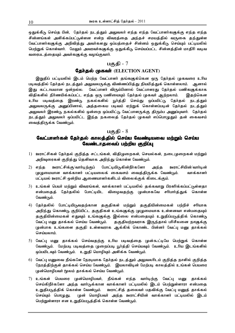ஒதுக்கீடு செய்த பின், தேர்தல் நடத்தும் அலுவலர் எந்த எந்த வேட்பாளர்களுக்கு எந்த எந்த சின்னங்கள் அளிக்கப்பட்டுள்ளன என்ற விவரத்தை அந்தச் சமயத்தில் வருகை தந்துள்ள வேட்பாளர்களுக்கு அறிவித்து அவர்களது ஒப்பத்தைச் சின்னம் ஒதுக்கீடு செய்யும் பட்டியலில் பெற்றுக் கொள்வார். மேலும் அவரவர்களுக்கு ஒதுக்கீடு செய்யப்பட்ட சின்னத்தின் மாதிரி வடிவ வரைபடக்கையம் அவர்களுக்கு வமங்கவார்.

## பகுதி -  $7$

## **தேர்தல் முகவர்** (ELECTION AGENT)

இறுதிப் பட்டியலில் இடம் பெற்ற வேட்பாளர் தங்களுக்கென ஒரு தேர்தல் முகவரை உரிய படிவத்தில் தேர்தல் நடத்தும் அலுவலருக்கு விண்ணப்பித்து நியமித்துக் கொள்ளலாம். ஆனால் இது கட்டாயமான ஒன்றல்ல. வேட்பாளர் விரும்பினால் வேட்பாளரது தேர்தல் பணிகளுக்காக விதிகளில் நிர்ணயிக்கப்பட்ட எந்த ஒரு பணியையும் தேர்தல் முகவர் ஆற்றலாம். இதற்கென உரிய படிவத்தை இரண்டு நகல்களில் பூர்த்தி செய்து ஒப்பமிட்டு தேர்தல் நடத்தும் அலுவலருக்கு அனுப்பினால், அத்தகைய படிவம் ஏற்றுக் கொள்ளப்படின் தேர்தல் நடத்தும் அலுவலர் இரண்டு நகல்களில் ஒன்றை ஒப்பமிட்டு வேட்பாளருக்கு திரும்ப அனுப்புவார். தேர்தல் நடத்தும் அலுவலர் ஒப்பமிட்ட இந்த நகலைத் தேர்தல் முகவர் எப்பொழுதும் தன் கைவசம் வைத்திருக்க வேண்டும்.

### பகுதி -  $8$

## வேட்பாளர்கள் கேர்கல் காலக்கில் செய்ய வேண்டியவை மற்றும் செய்ய வேண்டாதவைப் பற்றிய குறிப்பு

- <u>.</u><br>1) ஊராட்சிகள் தேர்தல் குறித்த சட்டங்கள், விதிமுறைகள், செயல்கள், நடைமுறைகள் மற்றும் அறிவுரைகள் குறித்து தெளிவாக அறிந்து கொள்ள வேண்டும்.
- 2) எந்த ஊராட்சிக்கு/வார்டிற்குப் போட்டியிடுகின்றீர்களோ அந்த ஊராட்சியின்/வார்டின் (ழழுமையான வாக்காளர் பட்டியலைக் கைவசம் வைத்திருக்க வேண்டும். வாக்காளர் பட்டியல் ஊராட்சி ஒன்றிய ஆணையாளர்களிடம் விலைக்குக் கிடைக்கும்.
- 3) உங்கள் பெயர் மற்றும் விவரங்கள், வாக்காளர் பட்டியலில் தக்கவாறு பிரசுரிக்கப்பட்டுள்ளதா என்பதைத் தேர்தலில் போட்டியிட விழைவதற்கு முன்பாகவே சரிபார்த்துக் கொள்ள வேண்டும்.
- 4) தேர்தலில் போட்டியிடுவதற்கான தகுதிகள் மற்றும் தகுதியின்மைகள் பற்றிச் சரியாக அறிந்து கொண்டு குறிப்பிட்ட தகுதிகள் உங்களுக்கு முழுமையாக உள்ளனவா என்பதையும் தகுதியின்மைகள் எதுவும் உங்களுக்கு இல்லை என்பதையும் உறுதிப்படுத்திக் கொண்டு வேட்பு மனு தாக்கல் செய்ய வேண்டும். தகுதியற்றவராக இருந்தால் பரிசீலனை நாளுக்கு முன்பாக உங்களை தகுதி உள்ளவராக ஆக்கிக் கொண்ட பின்னர் வேட்பு மனு தாக்கல் செய்யலாம்.
- <u>5) வேட்பு மனு தூக்கல் செய்வதற்கு உரிய படிவத்தை முன்கூட்டியே பெற்றுக் கொள்ள</u> வேண்டும். மேற்படி படிவத்தை முறைப்படி பூர்த்தி செய்யவும் வேண்டும். உரிய இடங்களில் ஒப்பமிடவும் வேண்டும். உறுதி மொழியும் அளிக்க வேண்டும்.
- 6) வேட்பு மனுவை நீங்களே நேரடியாக தேர்தல் நடத்தும் அலுவலரிடம் குறித்த நாளில் குறித்த நேரத்திற்குள் தாக்கல் செய்ய வேண்டும். இயலாவிடின் மேற்படி காலத்தில் உங்கள் பெயரை முன்மொழிபவர் மூலம் காக்கல் செய்ய வேண்டும்.
- 7) உங்கள் பெயரை முன்மொழிபவர், நீங்கள் எந்த வார்டிற்கு வேட்பு மனு தாக்கல் செய்கிறீர்களோ அந்த வார்டுக்கான வாக்காளர் பட்டியலில் இடம் பெற்றுள்ளாரா என்பதை உறுதிபடுத்திக் கொள்ள வேண்டும். ஊராட்சித் தலைவர் பதவிக்கு வேட்பு மனுத் தாக்கல் செய்யும் பொழுது, முன் மொழிபவர் அந்த ஊராட்சியின் வாக்காளர் பட்டியலில் இடம் பெற்றுள்ளாரா என உறுதிப்படுத்திக் கொள்ள வேண்டும்.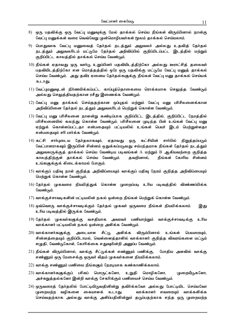- 8) ஒரு பதவிக்கு ஒரு வேட்பு மனுவுக்கு மேல் தாக்கல் செய்ய நீங்கள் விரும்பினால் நான்கு வேட்பு மனுக்கள் வரை வெவ்வேறு (முன்மொழிபவர்கள் மூலம் தாக்கல் செய்யலாம்.
- 9) பொதுவாக வேட்பு மனுவைத் தேர்தல் நடத்தும் அலுவலர் அல்லது உதவித் தேர்தல் நடத்தும் அலுவலரிடம் மட்டுமே தேர்தல் அறிவிப்பில் குறிப்பிடப்பட்ட இடத்தில் மற்றும் குறிப்பிட்ட காலத்தில் தாக்கல் செய்ய வேண்டும்.
- 10) நீங்கள் ஏதாவது ஒரு வார்டு உறுப்பினர் பதவியிடத்திற்கோ அல்லது ஊராட்சித் தலைவர் பதவியிடத்திற்கோ என மொத்தத்தில் ஒரே ஒரு பதவிக்கு மட்டுமே வேட்பு மனுத் தாக்கல் செய்ய வேண்டும். அது தவிர ஏனைய தேர்தல்களுக்கு நீங்கள் வேட்பு மனு தாக்கல் செய்யக் கூடாது.
- 11) வேட்புமனுவுடன் நிர்ணயிக்கப்பட்ட காப்புத்தொகையை ரொக்கமாக செலுத்த வேண்டும் அல்லது செலுத்தியதற்கான ரசீது இணைக்க வேண்டும்.
- 12) வேட்பு மனு தாக்கல் செய்ததற்கான ஒப்புதல் மற்றும் வேட்பு மனு பரிசீலனைக்கான அறிவிப்பினை தேர்தல் நடத்தும் அலுவலரிடம் பெற்றுக் கொள்ள வேண்டும்.
- 13) வேட்பு மனு பரிசீலனை நாளன்று கண்டிப்பாக குறிப்பிட்ட இடத்தில், குறிப்பிட்ட நேரத்தில் பரிசீலனையில் கலந்து கொள்ள வேண்டும். பரிசீலனை முடிந்த பின் உங்கள் வேட்பு மனு ஏற்றுக் கொள்ளப்பட்டதா என்பதையும் பட்டியலில் உங்கள் பெயர் இடம் பெற்றுள்ளதா என்பதையும் சரி பார்க்க வேண்டும்.
- 14) கட்சி சார்புடைய தேர்தலாகவும், ஏதாவது ஒரு கட்சியின் சார்பில் நிறுத்தப்படும் வேட்பாளராகவும் இருப்பின் சின்னம் ஒதுக்கப்படுவது சம்பந்தமாக நீங்கள் தேர்தல் நடத்தும் அலுவலருக்குத் தாக்கல் செய்ய வேண்டிய படிவங்கள் A மற்றும் B ஆகியவற்றை குறித்த காலத்திற்குள் தாக்கல் செய்ய வேண்டும். தவறினால், நீங்கள் கோரிய சின்னம் உங்களுக்குக் கிடைக்காமல் போகும்.
- 15) வாக்குப் பதிவு நாள் குறித்த அறிவிப்பையும் வாக்குப் பதிவு நேரம் குறித்த அறிவிப்பையும் பெற்றுக் கொள்ள வேண்டும்.
- 16) தேர்தல் முகவரை நியமித்துக் கொள்ள முறைப்படி உரிய படிவத்தில் விண்ணப்பிக்க வேண்டும்.
- 17) வாக்குச்சாவடிகளின் பட்டியலின் நகல் ஒன்றை நீங்கள் பெற்றுக் கொள்ள வேண்டும்.
- 18) ஒவ்வொரு வாக்குச்சாவடிக்கும் தேர்தல் முகவர் ஒருவரை நீங்கள் நியமிக்கலாம். இது உரிய படிவத்தில் இருக்க வேண்டும்.
- 19) தேர்தல் முகவர்களுக்கு வசதியாக அவரவர் பணியாற்றும் வாக்குச்சாவடிக்கு உரிய வாக்காளர் பட்டியலின் நகல் ஒன்றை அளிக்க வேண்டும்.
- $(20)$  வாக்காளர்களுக்கு அடையாள சீட்டு அளிக்க விரும்பினால் உங்கள் பெயரையம். சின்னத்தையும் குறிப்பிடாமல், வெள்ளைத்தாளில் வாக்காளர் குறித்த விவரங்களை மட்டும் எழுதி, வேண்டுகோள், கோரிக்கை எதுவுமின்றி அனுப்ப வேண்டும்.
- 21) நீங்கள் விரும்பினால், வாக்கு சீட்டுக்கள் எண்ணும் பணிக்கு, போதிய அளவில் வாக்கு எண்ணும் ஒரு மேசைக்கு ஒருவர் வீதம் முகவர்களை நியமிக்கலாம்.
- 22) வாக்கு எண்ணும் பணியை நீங்களும் நேரடியாக கண்காணிக்கலாம்.
- 23) வாக்காளர்களுக்குப் பரிசுப் பொருட்களோ, உறுதி மொழிகளோ, (ழறையீடுகளோ, அச்சுறுத்தல்களோ இன்றி வாக்கு சேகரிக்கும் பணியைச் செய்ய வேண்டும்.
- 24) ஒருவரைத் தேர்தலில் போட்டியிடுவதினின்று தவிர்க்கவோ அல்லது போட்டியிட செய்யவோ முறையற்ற வழிகளை கையாளக் கூடாது. வாக்காளர் எவரையும் வாக்களிக்க செய்வதற்காக அல்லது வாக்கு அளிப்பதினின்றும் தடுப்பதற்காக எந்த ஒரு முறையற்ற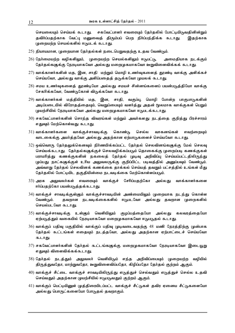செயலையும் செய்யக் கூடாது. சகவேட்பாளர் எவரையும் தேர்தலில் போட்டியிடுவதினின்றும் தவிர்ப்பதற்காக வேட்பு மனுவைத் திரும்பப் பெற நிர்ப்பந்திக்க கூடாது. இதற்காக (முறையற்ற செயல்களில் ஈடுபடக் கூடாது,

- $25$ ) நியாயமான, (முறையான தேர்தல்கள் நடைபெறுவதற்கு உதவ வேண்டும்.
- $26$ ) நேர்மையற்ற வழிகளிலும், முறையற்ற செயல்களிலும் ஈடுபட்டு, அமைதியாக நடக்கும் தேர்தல்களுக்கு நேரடியாகவோ அல்லது மறைமுகமாகவோ ஊறுவிளைவிக்கக் கூடாது.
- $27$ ) வாக்காளர்களின் மத, இன, சாதி மற்றும் மொழி உணர்வுகளைத் தூண்டி வாக்கு அளிக்கச் செய்யவோ, அல்லது வாக்கு அளிப்பதைத் தடுக்கவோ முயலக் கூடாது.
- $28$ ) சமய உணர்வுகளைத் தூண்டியோ அல்லது சமயச் சின்னங்களைப் பயன்படுத்தியோ வாக்கு சேகரிக்கவோ, வேண்டுகோள் விடுக்கவோ கூடாது.
- 29) வாக்காளர்கள் மத்தியில் மத, இன, சாதி, வகுப்பு, மொழி போன்ற பாகுபாடுகளின் அடிப்படையில் விரோதத்தையும், வெறுப்பையும் வளர்த்து அதன் மூலமாக வாக்குகள் பெறும் <u>முயற்</u>சியில் நேரடியாகவோ அல்லது மறைமுகமாகவோ ஈடுபடக்கூடாது.
- 30) சகவேட்பாளர்களின் சொந்த விவரங்கள் மற்றும் அவர்களது நடத்தை குறித்து பிரச்சாரம் எதுவும் மேற்கொள்வது கூடாது.
- 31) வாக்காளர்களை வாக்குச்சாவடிக்கு கொண்டு செல்ல வாகனங்கள் எவற்றையும் வாடகைக்கு அமர்த்தவோ அல்லது அதற்கான ஏற்பாடுகளைச் செய்யவோ கூடாது.
- 32) ஒவ்வொரு தேர்தலுக்கெனவும் நிர்ணயிக்கப்பட்ட தேர்தல் செலவினங்களுக்கு மேல் செலவு செய்யக்கூடாது, தேர்தல்களுக்குச் செலவழிக்கப்படும் தொகைக்கு முறைப்படி கணக்குகள் பராமரித்து கணக்குகளின் நகலைத் தேர்தல் முடிவு அறிவிப்பு செய்யப்பட்டதிலிருந்து முப்பது நாட்களுக்குள் உரிய அலுவலருக்கு குறிப்பிட்ட படிவத்தில் அனுப்பவும் வேண்டும். அவ்வாறு தேர்தல் செலவினக் கணக்கை தாக்கல் செய்யத் தவறும் பட்சத்தில் உங்கள் மீது தேர்தலில் போட்டியிட தகுதியின்மை நடவடிக்கை மேற்கொள்ளப்படும்.
- 33) அாசு அலுவலர்கள் எவரையம் வாக்குச் சேரிப்பகற்கோ அல்லகு வாக்காளர்களை ஈர்ப்பதற்கோ பயன்படுத்தக்கூடாது.
- 34) வாக்குச் சாவடிக்குள்ளும் வாக்குச்சாவடியின் அண்மையிலும் முறையாக நடந்து கொள்ள வேண்டும். தவறான நடவடிக்கைகளில் ஈடுபடவோ அல்லது தவறான (டிறைகளில் செயல்படவோ கூடாது.
- 35) வாக்குச்சாவடிக்கு உள்ளும் வெளியிலும் குழப்பத்தையோ அல்லது கலவரத்தையோ ஏற்படுத்தும் வகையில் நேரடியாகவோ மறைமுகமாகவோ ஈடுபடுதல் கூடாது.
- $36$ ) வாக்குப் பதிவு பகுதியில் வாக்குப் பதிவு முடிவடைவதற்கு  $48$  மணி நேரத்திற்கு முன்பாக தேர்தல் கூட்டங்கள் எதையும் நடத்தவோ, அல்லது அதற்கான ஏற்பாட்டைச் செய்யவோ கூடாது.
- 37) சகவேட்பாளர்களின் தேர்தல் கூட்டங்களுக்கு மறைமுகமாகவோ நேரடியாகவோ இடையூறு எதுவும் விளைவிக்கக்கூடாது.
- 38) தேர்தல் நடத்தும் அலுவலர் வெளியிடும் எந்த அறிவிப்பையும் முறையற்ற வழியில் திருத்துவதோ, மாற்றுவதோ, ஊறுவிளைவிப்பதோ, கிழிப்பதோ தேர்தல் குற்றம் ஆகும்.
- 40) வாக்குச் சீட்டை வாக்குச் சாவடியிலிருந்து எடுத்துச் செல்வதும் எடுத்துச் செல்ல உதவி செய்வதும் அதற்கான (ழயற்சியில் ஈடுபடுவதும் குற்றம் ஆகும்.
- 41) வாக்குப் பெட்டியினுள் (முத்திரையிடப்பட்ட வாக்குச் சீட்டுகள் தவிர ஏனைய சீட்டுகளையோ அல்லது பொருட்களையோ போடுதல் தவறாகும்.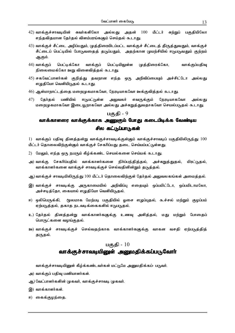- 42) வாக்குச்சாவடியின் சுவர்களிலோ அல்லது அதன் 100 மீட்டர் சுற்றுப் பகுதியிலோ எந்தவிதமான தேர்தல் விளம்பரங்களும் செய்தல் கூடாது.
- 43) வாக்குச் சீட்டை அழிப்பதும், முத்திரையிடப்பட்ட வாக்குச் சீட்டைத் திருத்துவதும், வாக்குச் சீட்டைப் பெட்டியில் போடுவதைத் தடுப்பதும், அதற்கான முயற்சியில் ஈடுபடுவதும் குற்றம் ஆகும்.
- $(44)$  வாக்குப் பெட்டிக்கோ வாக்குப் பெட்டியிலுள்ள முத்திரைக்கோ, வாக்குப்பதிவு நிலைமைக்கோ ஊறு விளைவித்தல் கூடாது.
- 45) சகவேட்பாளர்கள் குறித்து தவறான எந்த ஒரு அறிவிப்பையும் அச்சிட்டோ அல்லது எழுதியோ வெளியிடுதல் கூடாது.
- 46) ஆள்மாறாட்டத்தை மறைமுகமாகவோ, நேரடியாகவோ ஊக்குவித்தல் கூடாது.
- $47)$ கேர்கல் பணியில் ஈடுபட்டுள்ள அலுவலர் எவருக்கும் நேரடியாகவோ அல்லகு மறைமுகமாகவோ இடையூறாகவோ அல்லது அச்சுறுத்துவதாகவோ செயல்படுதல் கூடாது.

## வாக்காளரை வாக்குக்காக அணுகும் போது கடைபிடிக்க வேண்டிய சில கட்டுப்பாடுகள்

 $1)$  வாக்குப் பதிவு தினத்தன்று வாக்குச்சாவடிக்குள்ளும் வாக்குச்சாவடிப் பகுதியிலிருந்து  $100$ மீட்டர் தொலைவிற்குள்ளும் வாக்குச் சேகரிப்பது தடை செய்யப்பட்டுள்ளது.

- 2) மேலும், எந்த ஒரு நபரும் கீழ்க்கண்ட செயல்களை செய்யக் கூடாது.
- சேகரிப்பதில் வாக்காளர்களை நிர்ப்பந்தித்தல், அச்சுறுத்துதல், அ) வாக்கு மிரட்டுதல், வாக்காளர்களை வாக்குச் சாவடிக்குச் செல்வதினின்றும் தடுத்தல்.
- ஆ) வாக்குச் சாவடியிலிருந்து 100 மீட்டர் தொலைவிற்குள் தேர்தல் அலுவலகங்கள் அமைத்தல்.
- இ) வாக்குச் சாவடிக்கு அருகாமையில் அறிவிப்பு எதையும் ஒப்பமிட்டோ, ஒப்பமிடாமலோ, அச்சடித்தோ, கையால் எழுதியோ வெளியிடுதல்.
- ஈ) ஒலிபெருக்கி, மூலமாக மேற்படி பகுதியில் ஓசை எழுப்புதல், கூச்சல் மற்றும் குழப்பம் ஏற்படுத்தல், தகாத நடவடிக்கைகளில் ஈடுபடுதல்.
- உ) தேர்தல் தினத்தன்று வாக்காளர்களுக்கு உணவு அளித்தல், மது மற்றும் போதைப் பொருட்களை வழங்குதல்.
- ஊ) வாக்குச் சாவடிக்குச் செல்வதற்காக வாக்காளர்களுக்கு வாகன வசதி ஏற்படுத்தித் தருதல்.

## பகுதி -  $10$ வாக்குச்சாவடியினுள் அனுமதிக்கப்படுவோா்

வாக்குச்சாவடியினுள் கீழ்க்கண்டவர்கள் மட்டுமே அனுமதிக்கப்- படுவர்.

- அ) வாக்குப் பதிவு பணியாளர்கள்.
- ஆ) வேட்பாளர்களின் (ழகவர், வாக்குச்சாவடி (ழகவர்.
- இ) வாக்காளர்கள்.
- ஈ) கைக்குழந்தை.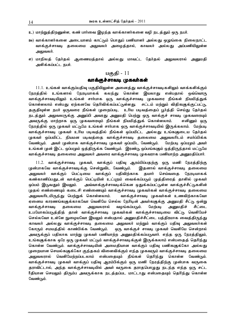- உ) மாற்றுத்திறனுள்ள, கண் பார்வை இழந்த வாக்காளர்களை வழி நடத்தும் ஒரு நபர்.
- ஊ) வாக்காளர்களை அடையாளம் காட்டும் பொதுப் பணியாளர் அல்லது ஒழுங்கை நிலைநாட்ட வாக்குச்சாவடி தலைமை அலுவலர் அழைத்தால், காவலர் அல்லது அப்பணியிலுள்ள அலுவலர்.
- எ) மாநிலத் தேர்தல் ஆணையத்தால் அல்லது மாவட்ட தேர்தல் அலுவலரால் அனுமதி அளிக்கப்பட்ட நபர்.

## வாக்குச்சாவடி முகவர்கள்

11.1. உங்கள் வாக்குப்பதிவு பகுதியிலுள்ள அனைத்து வாக்குச்சாவடிகளிலும் வாக்களிக்கும் நேரக்கில் உங்களால் நேரடியாகக் கலந்து கொள்ள இயலாது என்பதால் ஒவ்வொரு வாக்குச்சாவடியிலும் உங்கள் சார்பாக ஒரு வாக்குச்சாவடி முகவரை நீங்கள் நியமித்துக் கொள்ளலாம் என்பது ஏற்கனவே தெரிவிக்கப்பட்டுள்ளது. சட்டம் மற்றும் விதிகளுக்குட்பட்டு, தகுதியுள்ள நபர் ஒருவரை நீங்கள் (முறைப்படி, உரிய படிவத்தைப் பூர்த்தி செய்து தேர்தல் நடக்கும் அலுவலருக்கு அனுப்பி அவரது அனுமதி பெற்று ஒரு வாக்குச் சாவடி முகவரையும் அவருக்கு மாற்றாக ஒரு முகவரையும் நீங்கள் நியமித்துக் கொள்ளலாம். எனினும் ஒரு நேரத்தில் ஒரு முகவர் மட்டுமே உங்கள் சார்பாக ஒரு வாக்குச்சாவடியில் இருக்கலாம். மேற்படி வாக்குச்சாவடி முகவர் உரிய படிவத்தில் நீங்கள் ஒப்பமிட்ட அல்லது உங்களுடைய தேர்தல் முகவர் ஒப்பமிட்ட நியமன படிவத்தை வாக்குச்சாவடி தலைமை அலுவலரிடம் சமா்ப்பிக்க வேண்டும். அவர் முன்பாக வாக்குச்சாவடி முகவர் ஒப்பமிட வேண்டும். மேற்படி ஒப்பமும் அவர் உங்கள் முன் இட்ட ஒப்பமும் ஒத்திருக்க வேண்டும். இரண்டு ஒப்பங்களும் ஒத்திருந்தால் மட்டுமே வாக்குச்சாவடி கலைமை அலவலர் அவரை வாக்குச்சாவடி முகவாரக பணியாற்ற அமைகிப்பார்.

11.2. வாக்குச்சாவடி முகவர், வாக்குப் பதிவு ஆரம்பிப்பதற்கு ஒரு மணி நேரத்திற்கு முன்பாகவே வாக்குச்சாவடிக்கு சென்றுவிட வேண்டும். இதனால் வாக்குச்சாவடி தலைமை அலுவலர் வாக்குப் பெட்டியை வாக்குப் பதிவிற்காக தயார் செய்வதை நேரடியாகக் கண்காணிப்பதுடன் வாக்குப் பெட்டியின் உட்புறம் வைக்கப்படும் முத்திரைத் தாளில் முகவர் அவ்வாக்குச்சாவடிக்கென ஒதுக்கப்பட்டுள்ள வாக்குச்சீட்டுகளின் ஒப்பம் இடுவதும் இயலும். (ழதல் எண்ணையும் கடைசி எண்ணையும் வாக்குச்சாவடி (ழகவர்கள் வாக்குச்சாவடி தலைமை அலுவலாிடமிருந்து பெற்றுக் கொள்ளலாம். வாக்குச்சாவடி முகவர்கள் உணவிற்காகவோ ஏனைய காரணங்களுக்காகவோ வெளியே செல்ல நேரிடின் அவர்களுக்கு அனுமதி சீட்டு ஒன்று சீட்டை வாக்குச்சாவடி கலைமை அலுவலரால் வழங்கப்படும். மேற்படி அனுமதிச் உபயோகப்படுத்தித் தான் வாக்குச்சாவடி முகவர்கள் வாக்குச்சாவடியை விட்டு வெளியேச் செல்லவோ உள்ளே நுழையவோ இயலும் என்பதால் அனுமதிச்சீட்டை பத்திரமாக வைத்திருந்து காவலர் அல்லது வாக்குச்சாவடி தலைமை அலுவலர் மற்றும் வாக்குப் பதிவு அலுவலர்கள் கோரும் சமயத்தில் காண்பிக்க வேண்டும். ஒரு வாக்குச் சாவடி முகவர் வெளியே சென்றால் அவருக்குப் பதிலாக மாற்று முகவர் பணியாற்ற அனுமதிக்கப்படுவார். எந்த ஒரு நேரத்திலும், உங்களுக்காக ஒரே ஒரு முகவர் மட்டும் வாக்குச்சாவடிக்குள் இருக்கலாம் என்பதைத் தெரிந்து கொள்ள வேண்டும். வாக்குச்சாவடியின் அமைதியான வாக்குப் பதிவு பணிகளுக்கோ அல்லது முறையான செயல்களுக்கோ குந்தகம் விளைவிக்கும் எந்த முகவரும் வாக்குச்சாவடி தலைமை அலுவலரால் வெளியேற்றப்படலாம் என்பதையும் நீங்கள் தெரிந்து கொள்ள வேண்டும். வாக்குச்சாவடி முகவர் வாக்குப் பதிவு ஆரம்பிக்கும் ஒரு மணி நேரத்திற்கு முன்பாக வருகை தராவிட்டால், அந்த வாக்குச்சாவடியில் அவர் வருகை தராதபொழுது நடந்த எந்த ஒரு சட்ட ரீதியான செயலும் திரும்ப அவருக்காக நடத்தப்பட மாட்டாது என்பதையும் தெரிந்து கொள்ள வேண்டும்.

14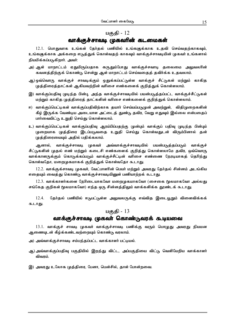## வாக்குச்சாவடி முகவரின் கடமைகள்

12.1. பொதுவாக உங்கள் தேர்தல் பணியில் உங்களுக்காக உதவி செய்வதற்காகவும், உங்களுக்காக அக்கறை எடுத்துக் கொள்வதற் காகவும் வாக்குச்சாவடியின் முகவர் உங்களால் நியமிக்கப்படுகிறார். அவர்:

- அ) ஆள் மாறாட்டம் ஏதுமிருப்பதாக கருதும்போது வாக்குச்சவாடி தலைமை அலுவலரின் கவனத்திற்குக் கொண்டு சென்று ஆள் மாறாட்டம் செய்வதைத் தவிர்க்க உதவலாம்.
- ஆ) ஒவ்வொரு வாக்குச் சாவடிக்கும் ஒதுக்கப்பட்டுள்ள வாக்குச் சீட்டுகள் மற்றும் காகித முத்திரைத்தாட்கள் ஆகியவற்றின் வரிசை எண்களைக் குறித்துக் கொள்ளலாம்.
- இ) வாக்குப்பதிவு முடிந்த பின்பு, அந்த வாக்குச்சாவடியில் பயன்படுத்தப்பட்ட வாக்குச்சீட்டுகள் மற்றும் காகித முத்திரைத் தாட்களின் வரிசை எண்களைக் குறித்துக் கொள்ளலாம்.
- ஈ) வாக்குப்பெட்டிகள் வாக்குப்பகிவிற்காக கயார் செய்யப்படுமுன் அவற்றுள், விகிமுறைகளின் கீழ் இருக்க வேண்டிய அடையாள அட்டைத் துண்டு தவிர, வேறு எதுவும் இல்லை என்பதைப் பார்வையிட்டு உறுதி செய்து கொள்ளலாம்.
- உ) வாக்குப்பெட்டிகள் வாக்குப்பதிவு ஆரம்பிப்பதற்கு முன்பும் வாக்குப் பதிவு முடிந்த பின்பும் முறையாக முத்திரை இடப்படுவதை உறுதி செய்து கொள்வதுடன் விரும்பினால் தன் முத்திரையையும் அதில் பதிக்கலாம்.

ஆனால், வாக்குச்சாவடி முகவர் அவ்வாக்குச்சாவடியில் பயன்படுத்தப்படும் வாக்குச் சீட்டுகளின் முதல் எண் மற்றும் கடைசி எண்களைக் குறித்து கொள்ளலாமே தவிர, ஒவ்வொரு வாக்காளருக்கும் கொடுக்கப்படும் வாக்குச்சீட்டின் வரிசை எண்ணை நேரடியாகத் தெரிந்து கொள்வதோ, மறைமுகமாகக் குறித்துக் கொள்வதோ கூடாது.

12.2. வாக்குக்சாவடி முகவர், வேட்பாளின் பெயர் மற்றும் அவரது தேர்தல் சின்னம் அடங்கிய எதையும் வைத்து கொண்டு வாக்குச்சாவடியினுள் பணியாற்றக் கூடாது.

12.3. வாக்காளர்களை நேரிடையாகவோ மறைமுகமாகவோ (சைகை மூலமாகவோ அல்லது சங்கேத குறிகள் மூலமாகவோ) எந்த ஒரு சின்னத்திலும் வாக்களிக்க தூண்டக் கூடாது.

12.4. தேர்தல் பணியில் ஈடுபட்டுள்ள அலுவலருக்கு எவ்வித இடையூறும் விளைவிக்கக் கூடாது.

## பகுதி -  $13$

## வாக்குச்சாவடி முகவா் கொண்டுவரக் கூடியவை

13.1. வாக்குச் சாவடி (முகவர் வாக்குச்சாவடி பணிக்கு வரும் பொழுது அவரது நியமன ஆணையுடன் கீழ்க்கண்டவற்றையும் கொண்டு வரலாம்.

- அ) அவ்வாக்குச்சாவடி சம்பந்தப்பட்ட வாக்காளர் பட்டியல்.
- ஆ) அவ்வாக்குப்பதிவு பகுதியில் இறந்து விட்ட, அப்பகுதியை விட்டு வெளியேறிய வாக்காளர் விவரம்.
- இ) அவரது உலோக முத்திரை, பேனா, பென்சில், தாள் போன்றவை.